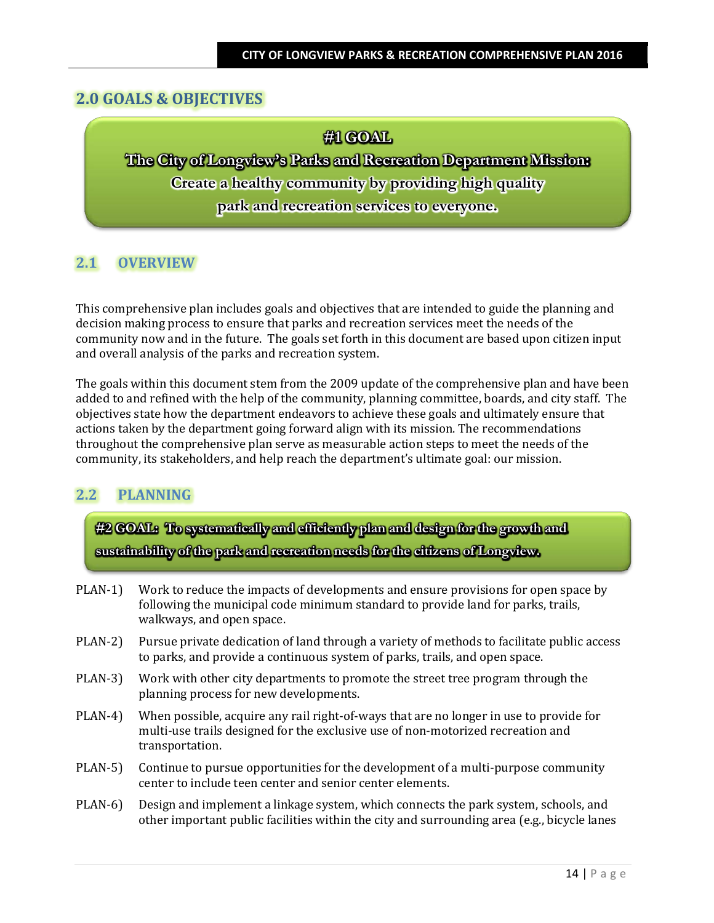## **2.0 GOALS & OBJECTIVES**

**#1 GOAL**

**The City of Longview's Parks and Recreation Department Mission: Create a healthy community by providing high quality park and recreation services to everyone.**

## **2.1 OVERVIEW**

This comprehensive plan includes goals and objectives that are intended to guide the planning and decision making process to ensure that parks and recreation services meet the needs of the community now and in the future. The goals set forth in this document are based upon citizen input and overall analysis of the parks and recreation system.

The goals within this document stem from the 2009 update of the comprehensive plan and have been added to and refined with the help of the community, planning committee, boards, and city staff. The objectives state how the department endeavors to achieve these goals and ultimately ensure that actions taken by the department going forward align with its mission. The recommendations throughout the comprehensive plan serve as measurable action steps to meet the needs of the community, its stakeholders, and help reach the department's ultimate goal: our mission.

#### **2.2 PLANNING**

**#2 GOAL: To systematically and efficiently plan and design for the growth and sustainability of the park and recreation needs for the citizens of Longview.**

- PLAN-1) Work to reduce the impacts of developments and ensure provisions for open space by following the municipal code minimum standard to provide land for parks, trails, walkways, and open space.
- PLAN-2) Pursue private dedication of land through a variety of methods to facilitate public access to parks, and provide a continuous system of parks, trails, and open space.
- PLAN-3) Work with other city departments to promote the street tree program through the planning process for new developments.
- PLAN-4) When possible, acquire any rail right-of-ways that are no longer in use to provide for multi-use trails designed for the exclusive use of non-motorized recreation and transportation.
- PLAN-5) Continue to pursue opportunities for the development of a multi-purpose community center to include teen center and senior center elements.
- PLAN-6) Design and implement a linkage system, which connects the park system, schools, and other important public facilities within the city and surrounding area (e.g., bicycle lanes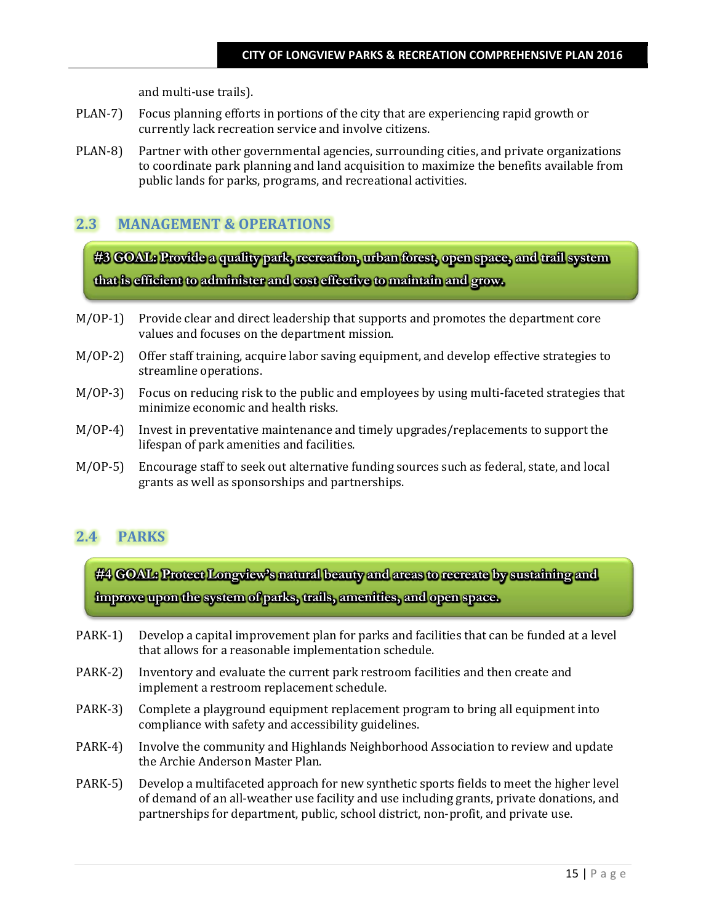and multi-use trails).

- PLAN-7) Focus planning efforts in portions of the city that are experiencing rapid growth or currently lack recreation service and involve citizens.
- PLAN-8) Partner with other governmental agencies, surrounding cities, and private organizations to coordinate park planning and land acquisition to maximize the benefits available from public lands for parks, programs, and recreational activities.

### **2.3 MANAGEMENT & OPERATIONS**

**#3 GOAL: Provide a quality park, recreation, urban forest, open space, and trail system that is efficient to administer and cost effective to maintain and grow.**

- M/OP-1) Provide clear and direct leadership that supports and promotes the department core values and focuses on the department mission.
- M/OP-2) Offer staff training, acquire labor saving equipment, and develop effective strategies to streamline operations.
- M/OP-3) Focus on reducing risk to the public and employees by using multi-faceted strategies that minimize economic and health risks.
- M/OP-4) Invest in preventative maintenance and timely upgrades/replacements to support the lifespan of park amenities and facilities.
- M/OP-5) Encourage staff to seek out alternative funding sources such as federal, state, and local grants as well as sponsorships and partnerships.

#### **2.4 PARKS**

**#4 GOAL: Protect Longview's natural beauty and areas to recreate by sustaining and improve upon the system of parks, trails, amenities, and open space.** 

- PARK-1) Develop a capital improvement plan for parks and facilities that can be funded at a level that allows for a reasonable implementation schedule.
- PARK-2) Inventory and evaluate the current park restroom facilities and then create and implement a restroom replacement schedule.
- PARK-3) Complete a playground equipment replacement program to bring all equipment into compliance with safety and accessibility guidelines.
- PARK-4) Involve the community and Highlands Neighborhood Association to review and update the Archie Anderson Master Plan.
- PARK-5) Develop a multifaceted approach for new synthetic sports fields to meet the higher level of demand of an all-weather use facility and use including grants, private donations, and partnerships for department, public, school district, non-profit, and private use.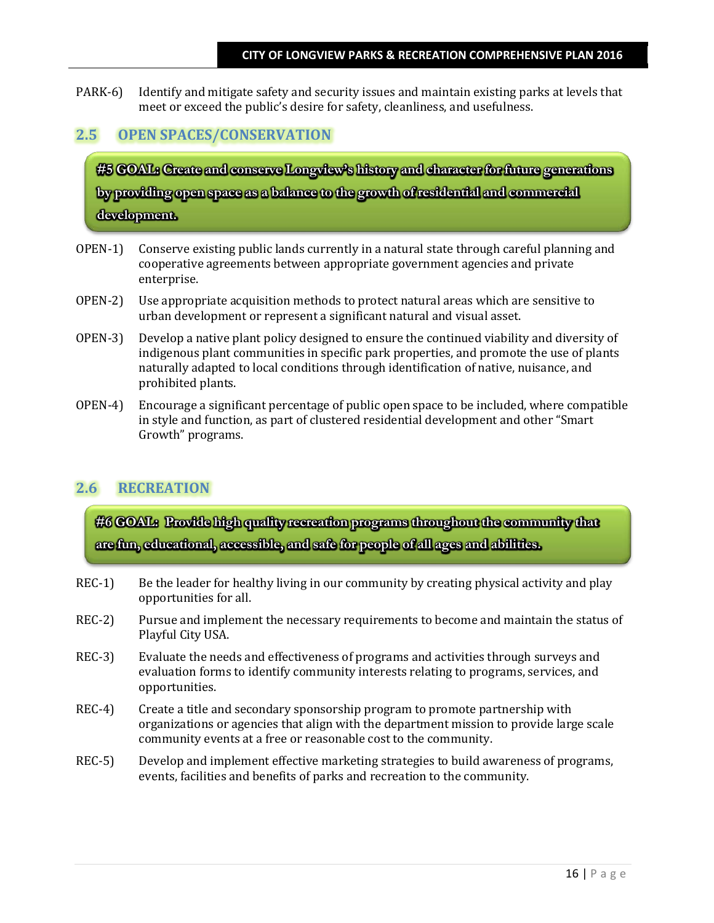PARK-6) Identify and mitigate safety and security issues and maintain existing parks at levels that meet or exceed the public's desire for safety, cleanliness, and usefulness.

# **2.5 OPEN SPACES/CONSERVATION**

**#5 GOAL: Create and conserve Longview's history and character for future generations by providing open space as a balance to the growth of residential and commercial development.** 

- OPEN-1) Conserve existing public lands currently in a natural state through careful planning and cooperative agreements between appropriate government agencies and private enterprise.
- OPEN-2) Use appropriate acquisition methods to protect natural areas which are sensitive to urban development or represent a significant natural and visual asset.
- OPEN-3) Develop a native plant policy designed to ensure the continued viability and diversity of indigenous plant communities in specific park properties, and promote the use of plants naturally adapted to local conditions through identification of native, nuisance, and prohibited plants.
- OPEN-4) Encourage a significant percentage of public open space to be included, where compatible in style and function, as part of clustered residential development and other "Smart Growth" programs.

# **2.6 RECREATION**

**#6 GOAL: Provide high quality recreation programs throughout the community that are fun, educational, accessible, and safe for people of all ages and abilities.**

- REC-1) Be the leader for healthy living in our community by creating physical activity and play opportunities for all.
- REC-2) Pursue and implement the necessary requirements to become and maintain the status of Playful City USA.
- REC-3) Evaluate the needs and effectiveness of programs and activities through surveys and evaluation forms to identify community interests relating to programs, services, and opportunities.
- REC-4) Create a title and secondary sponsorship program to promote partnership with organizations or agencies that align with the department mission to provide large scale community events at a free or reasonable cost to the community.
- REC-5) Develop and implement effective marketing strategies to build awareness of programs, events, facilities and benefits of parks and recreation to the community.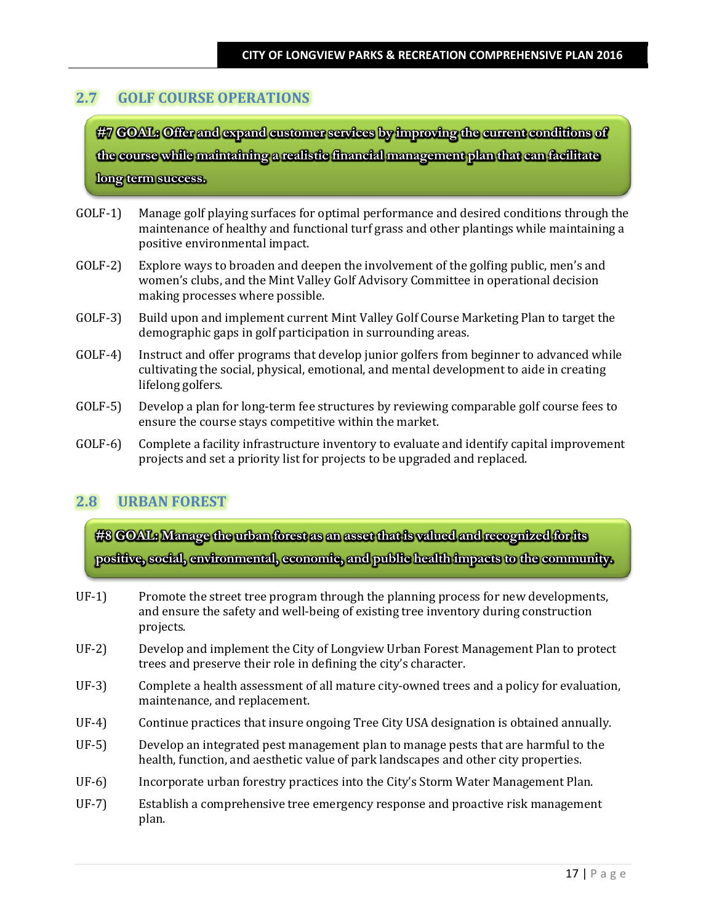# **2.7 GOLF COURSE OPERATIONS**

**#7 GOAL: Offer and expand customer services by improving the current conditions of the course while maintaining a realistic financial management plan that can facilitate long term success.**

- GOLF-1) Manage golf playing surfaces for optimal performance and desired conditions through the maintenance of healthy and functional turf grass and other plantings while maintaining a positive environmental impact.
- GOLF-2) Explore ways to broaden and deepen the involvement of the golfing public, men's and women's clubs, and the Mint Valley Golf Advisory Committee in operational decision making processes where possible.
- GOLF-3) Build upon and implement current Mint Valley Golf Course Marketing Plan to target the demographic gaps in golf participation in surrounding areas.
- GOLF-4) Instruct and offer programs that develop junior golfers from beginner to advanced while cultivating the social, physical, emotional, and mental development to aide in creating lifelong golfers.
- GOLF-5) Develop a plan for long-term fee structures by reviewing comparable golf course fees to ensure the course stays competitive within the market.
- GOLF-6) Complete a facility infrastructure inventory to evaluate and identify capital improvement projects and set a priority list for projects to be upgraded and replaced.

# **2.8 URBAN FOREST**

**#8 GOAL: Manage the urban forest as an asset that is valued and recognized for its positive, social, environmental, economic, and public health impacts to the community.**

- UF-1) Promote the street tree program through the planning process for new developments, and ensure the safety and well-being of existing tree inventory during construction projects.
- UF-2) Develop and implement the City of Longview Urban Forest Management Plan to protect trees and preserve their role in defining the city's character.
- UF-3) Complete a health assessment of all mature city-owned trees and a policy for evaluation, maintenance, and replacement.
- UF-4) Continue practices that insure ongoing Tree City USA designation is obtained annually.
- UF-5) Develop an integrated pest management plan to manage pests that are harmful to the health, function, and aesthetic value of park landscapes and other city properties.
- UF-6) Incorporate urban forestry practices into the City's Storm Water Management Plan.
- UF-7) Establish a comprehensive tree emergency response and proactive risk management plan.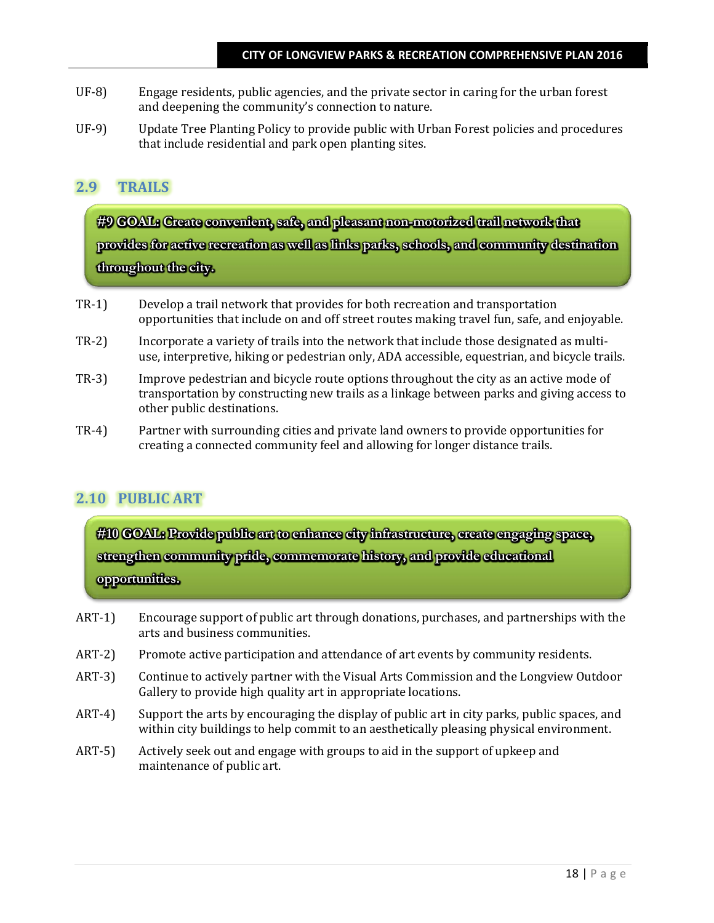- UF-8) Engage residents, public agencies, and the private sector in caring for the urban forest and deepening the community's connection to nature.
- UF-9) Update Tree Planting Policy to provide public with Urban Forest policies and procedures that include residential and park open planting sites.

### **2.9 TRAILS**

**#9 GOAL: Create convenient, safe, and pleasant non-motorized trail network that provides for active recreation as well as links parks, schools, and community destination throughout the city.**

- TR-1) Develop a trail network that provides for both recreation and transportation opportunities that include on and off street routes making travel fun, safe, and enjoyable.
- TR-2) Incorporate a variety of trails into the network that include those designated as multiuse, interpretive, hiking or pedestrian only, ADA accessible, equestrian, and bicycle trails.
- TR-3) Improve pedestrian and bicycle route options throughout the city as an active mode of transportation by constructing new trails as a linkage between parks and giving access to other public destinations.
- TR-4) Partner with surrounding cities and private land owners to provide opportunities for creating a connected community feel and allowing for longer distance trails.

# **2.10 PUBLIC ART**

**#10 GOAL: Provide public art to enhance city infrastructure, create engaging space, strengthen community pride, commemorate history, and provide educational opportunities.**

- ART-1) Encourage support of public art through donations, purchases, and partnerships with the arts and business communities.
- ART-2) Promote active participation and attendance of art events by community residents.
- ART-3) Continue to actively partner with the Visual Arts Commission and the Longview Outdoor Gallery to provide high quality art in appropriate locations.
- ART-4) Support the arts by encouraging the display of public art in city parks, public spaces, and within city buildings to help commit to an aesthetically pleasing physical environment.
- ART-5) Actively seek out and engage with groups to aid in the support of upkeep and maintenance of public art.